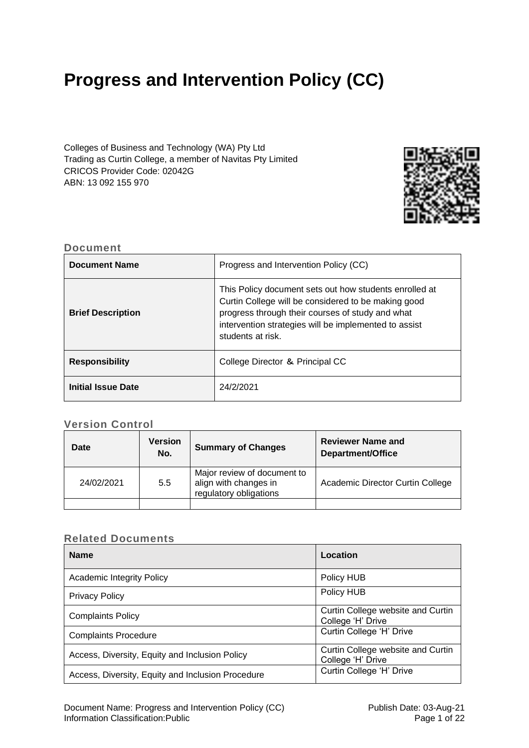# **Progress and Intervention Policy (CC)**

Colleges of Business and Technology (WA) Pty Ltd Trading as Curtin College, a member of Navitas Pty Limited CRICOS Provider Code: 02042G ABN: 13 092 155 970



# **Document**

| <b>Document Name</b>      | Progress and Intervention Policy (CC)                                                                                                                                                                                                           |
|---------------------------|-------------------------------------------------------------------------------------------------------------------------------------------------------------------------------------------------------------------------------------------------|
| <b>Brief Description</b>  | This Policy document sets out how students enrolled at<br>Curtin College will be considered to be making good<br>progress through their courses of study and what<br>intervention strategies will be implemented to assist<br>students at risk. |
| <b>Responsibility</b>     | College Director & Principal CC                                                                                                                                                                                                                 |
| <b>Initial Issue Date</b> | 24/2/2021                                                                                                                                                                                                                                       |

# **Version Control**

| Date       | <b>Version</b><br>No. | <b>Summary of Changes</b>                                                      | <b>Reviewer Name and</b><br>Department/Office |
|------------|-----------------------|--------------------------------------------------------------------------------|-----------------------------------------------|
| 24/02/2021 | 5.5                   | Major review of document to<br>align with changes in<br>regulatory obligations | Academic Director Curtin College              |
|            |                       |                                                                                |                                               |

# **Related Documents**

| <b>Name</b>                                       | Location                                               |
|---------------------------------------------------|--------------------------------------------------------|
| <b>Academic Integrity Policy</b>                  | Policy HUB                                             |
| <b>Privacy Policy</b>                             | Policy HUB                                             |
| <b>Complaints Policy</b>                          | Curtin College website and Curtin<br>College 'H' Drive |
| <b>Complaints Procedure</b>                       | Curtin College 'H' Drive                               |
| Access, Diversity, Equity and Inclusion Policy    | Curtin College website and Curtin<br>College 'H' Drive |
| Access, Diversity, Equity and Inclusion Procedure | Curtin College 'H' Drive                               |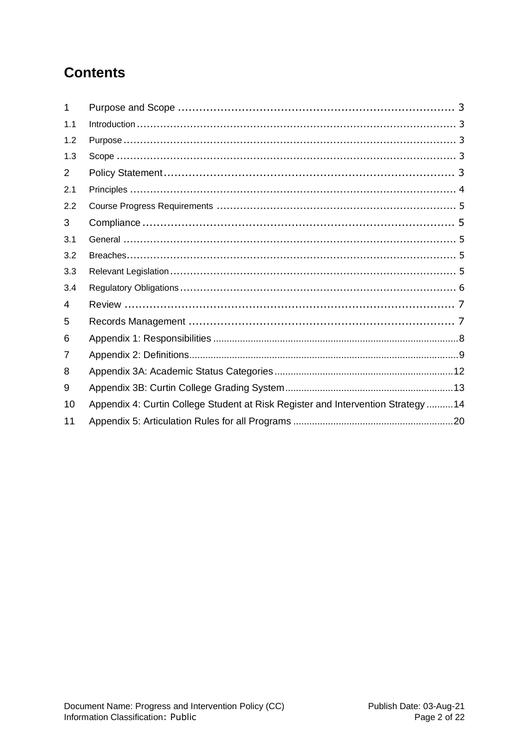# **Contents**

<span id="page-1-0"></span>

| 1   |                                                                                   |
|-----|-----------------------------------------------------------------------------------|
| 1.1 |                                                                                   |
| 1.2 |                                                                                   |
| 1.3 |                                                                                   |
| 2   |                                                                                   |
| 2.1 |                                                                                   |
| 2.2 |                                                                                   |
| 3   |                                                                                   |
| 3.1 |                                                                                   |
| 3.2 |                                                                                   |
| 3.3 |                                                                                   |
| 3.4 |                                                                                   |
| 4   |                                                                                   |
| 5   |                                                                                   |
| 6   |                                                                                   |
| 7   |                                                                                   |
| 8   |                                                                                   |
| 9   |                                                                                   |
| 10  | Appendix 4: Curtin College Student at Risk Register and Intervention Strategy  14 |
| 11  |                                                                                   |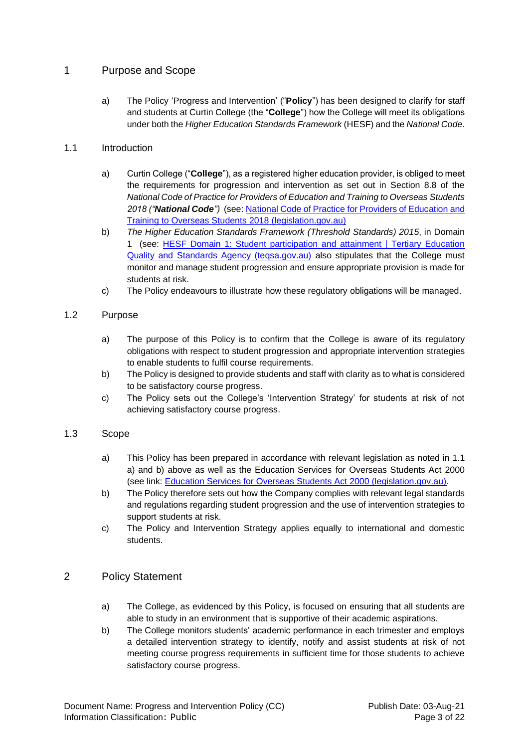# 1 Purpose and Scope

a) The Policy 'Progress and Intervention' ("**Policy**") has been designed to clarify for staff and students at Curtin College (the "**College**") how the College will meet its obligations under both the *Higher Education Standards Framework* (HESF) and the *National Code*.

# <span id="page-2-0"></span>1.1 Introduction

- a) Curtin College ("**College**"), as a registered higher education provider, is obliged to meet the requirements for progression and intervention as set out in Section 8.8 of the *National Code of Practice for Providers of Education and Training to Overseas Students 2018 ("National Code")* (see[: National Code of Practice for Providers of Education and](https://www.legislation.gov.au/Details/F2017L01182/Html/Text#_Toc487026961)  [Training to Overseas Students 2018 \(legislation.gov.au\)](https://www.legislation.gov.au/Details/F2017L01182/Html/Text#_Toc487026961)
- b) *The Higher Education Standards Framework (Threshold Standards) 2015*, in Domain 1 (see: [HESF Domain 1: Student participation and attainment | Tertiary Education](https://www.teqsa.gov.au/hesf-domain-1)  [Quality and Standards Agency \(teqsa.gov.au\)](https://www.teqsa.gov.au/hesf-domain-1) also stipulates that the College must monitor and manage student progression and ensure appropriate provision is made for students at risk.
- c) The Policy endeavours to illustrate how these regulatory obligations will be managed.

# <span id="page-2-1"></span>1.2 Purpose

- a) The purpose of this Policy is to confirm that the College is aware of its regulatory obligations with respect to student progression and appropriate intervention strategies to enable students to fulfil course requirements.
- b) The Policy is designed to provide students and staff with clarity as to what is considered to be satisfactory course progress.
- c) The Policy sets out the College's 'Intervention Strategy' for students at risk of not achieving satisfactory course progress.

# <span id="page-2-2"></span>1.3 Scope

- a) This Policy has been prepared in accordance with relevant legislation as noted in 1.1 a) and b) above as well as the Education Services for Overseas Students Act 2000 (see link: [Education Services for Overseas Students Act 2000 \(legislation.gov.au\).](https://www.legislation.gov.au/Details/C2021C00101)
- b) The Policy therefore sets out how the Company complies with relevant legal standards and regulations regarding student progression and the use of intervention strategies to support students at risk.
- c) The Policy and Intervention Strategy applies equally to international and domestic students.

# <span id="page-2-3"></span>2 Policy Statement

- a) The College, as evidenced by this Policy, is focused on ensuring that all students are able to study in an environment that is supportive of their academic aspirations.
- b) The College monitors students' academic performance in each trimester and employs a detailed intervention strategy to identify, notify and assist students at risk of not meeting course progress requirements in sufficient time for those students to achieve satisfactory course progress.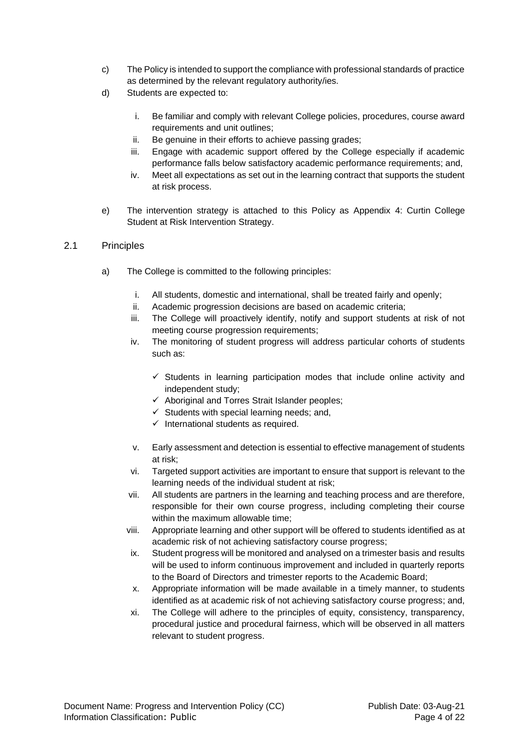- c) The Policy is intended to support the compliance with professional standards of practice as determined by the relevant regulatory authority/ies.
- d) Students are expected to:
	- i. Be familiar and comply with relevant College policies, procedures, course award requirements and unit outlines;
	- ii. Be genuine in their efforts to achieve passing grades;
	- iii. Engage with academic support offered by the College especially if academic performance falls below satisfactory academic performance requirements; and,
	- iv. Meet all expectations as set out in the learning contract that supports the student at risk process.
- e) The intervention strategy is attached to this Policy as Appendix 4: Curtin College Student at Risk Intervention Strategy.

### <span id="page-3-0"></span>2.1 Principles

- a) The College is committed to the following principles:
	- i. All students, domestic and international, shall be treated fairly and openly;
	- ii. Academic progression decisions are based on academic criteria;
	- iii. The College will proactively identify, notify and support students at risk of not meeting course progression requirements;
	- iv. The monitoring of student progress will address particular cohorts of students such as:
		- $\checkmark$  Students in learning participation modes that include online activity and independent study;
		- $\checkmark$  Aboriginal and Torres Strait Islander peoples;
		- $\checkmark$  Students with special learning needs; and,
		- $\checkmark$  International students as required.
	- v. Early assessment and detection is essential to effective management of students at risk;
	- vi. Targeted support activities are important to ensure that support is relevant to the learning needs of the individual student at risk;
	- vii. All students are partners in the learning and teaching process and are therefore, responsible for their own course progress, including completing their course within the maximum allowable time;
	- viii. Appropriate learning and other support will be offered to students identified as at academic risk of not achieving satisfactory course progress;
	- ix. Student progress will be monitored and analysed on a trimester basis and results will be used to inform continuous improvement and included in quarterly reports to the Board of Directors and trimester reports to the Academic Board;
	- x. Appropriate information will be made available in a timely manner, to students identified as at academic risk of not achieving satisfactory course progress; and,
	- xi. The College will adhere to the principles of equity, consistency, transparency, procedural justice and procedural fairness, which will be observed in all matters relevant to student progress.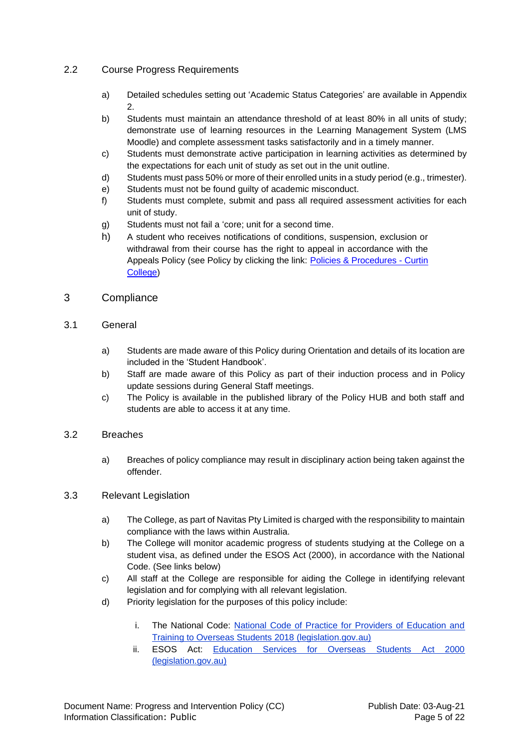# <span id="page-4-0"></span>2.2 Course Progress Requirements

- a) Detailed schedules setting out 'Academic Status Categories' are available in Appendix 2.
- b) Students must maintain an attendance threshold of at least 80% in all units of study; demonstrate use of learning resources in the Learning Management System (LMS Moodle) and complete assessment tasks satisfactorily and in a timely manner.
- c) Students must demonstrate active participation in learning activities as determined by the expectations for each unit of study as set out in the unit outline.
- d) Students must pass 50% or more of their enrolled units in a study period (e.g., trimester).
- e) Students must not be found guilty of academic misconduct.
- f) Students must complete, submit and pass all required assessment activities for each unit of study.
- g) Students must not fail a 'core; unit for a second time.
- h) A student who receives notifications of conditions, suspension, exclusion or withdrawal from their course has the right to appeal in accordance with the Appeals Policy (see Policy by clicking the link: [Policies & Procedures -](https://www.curtincollege.edu.au/about-curtin-college/policies-procedures/) Curtin [College\)](https://www.curtincollege.edu.au/about-curtin-college/policies-procedures/)

# <span id="page-4-1"></span>3 Compliance

# <span id="page-4-2"></span>3.1 General

- a) Students are made aware of this Policy during Orientation and details of its location are included in the 'Student Handbook'.
- b) Staff are made aware of this Policy as part of their induction process and in Policy update sessions during General Staff meetings.
- c) The Policy is available in the published library of the Policy HUB and both staff and students are able to access it at any time.

# <span id="page-4-3"></span>3.2 Breaches

a) Breaches of policy compliance may result in disciplinary action being taken against the offender.

# <span id="page-4-4"></span>3.3 Relevant Legislation

- a) The College, as part of Navitas Pty Limited is charged with the responsibility to maintain compliance with the laws within Australia.
- b) The College will monitor academic progress of students studying at the College on a student visa, as defined under the ESOS Act (2000), in accordance with the National Code. (See links below)
- c) All staff at the College are responsible for aiding the College in identifying relevant legislation and for complying with all relevant legislation.
- d) Priority legislation for the purposes of this policy include:
	- i. The National Code: [National Code of Practice for Providers of Education and](https://www.legislation.gov.au/Details/F2017L01182/Html/Text#_Toc487026961)  [Training to Overseas Students 2018 \(legislation.gov.au\)](https://www.legislation.gov.au/Details/F2017L01182/Html/Text#_Toc487026961)
	- ii. ESOS Act: [Education Services for Overseas Students Act 2000](https://www.legislation.gov.au/Details/C2021C00101)  [\(legislation.gov.au\)](https://www.legislation.gov.au/Details/C2021C00101)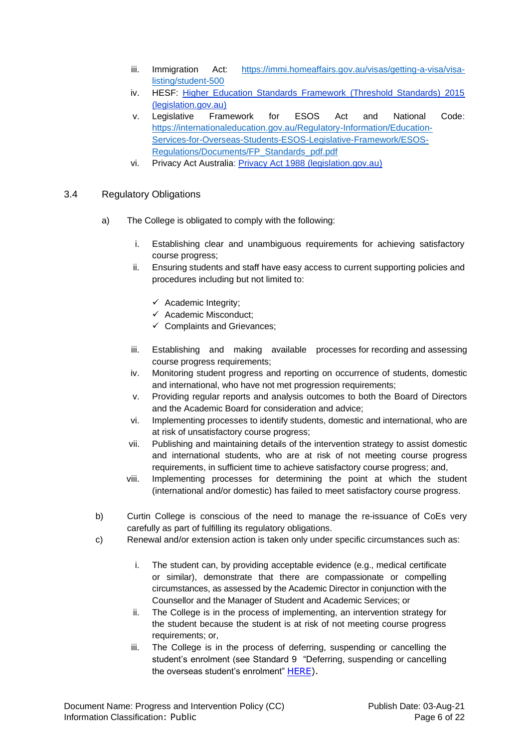- iii. Immigration Act: [https://immi.homeaffairs.gov.au/visas/getting-a-visa/visa](https://immi.homeaffairs.gov.au/visas/getting-a-visa/visa-listing/student-500)[listing/student-500](https://immi.homeaffairs.gov.au/visas/getting-a-visa/visa-listing/student-500)
- iv. HESF: [Higher Education Standards Framework \(Threshold Standards\) 2015](https://www.legislation.gov.au/Details/F2015L01639)  [\(legislation.gov.au\)](https://www.legislation.gov.au/Details/F2015L01639)
- v. Legislative Framework for ESOS Act and National Code: [https://internationaleducation.gov.au/Regulatory-Information/Education-](https://internationaleducation.gov.au/Regulatory-Information/Education-Services-for-Overseas-Students-ESOS-Legislative-Framework/ESOS-Regulations/Documents/FP_Standards_pdf.pdf)[Services-for-Overseas-Students-ESOS-Legislative-Framework/ESOS-](https://internationaleducation.gov.au/Regulatory-Information/Education-Services-for-Overseas-Students-ESOS-Legislative-Framework/ESOS-Regulations/Documents/FP_Standards_pdf.pdf)[Regulations/Documents/FP\\_Standards\\_pdf.pdf](https://internationaleducation.gov.au/Regulatory-Information/Education-Services-for-Overseas-Students-ESOS-Legislative-Framework/ESOS-Regulations/Documents/FP_Standards_pdf.pdf)
- vi. Privacy Act Australia: [Privacy Act 1988 \(legislation.gov.au\)](https://www.legislation.gov.au/Details/C2021C00024)
- <span id="page-5-0"></span>3.4 Regulatory Obligations
	- a) The College is obligated to comply with the following:
		- i. Establishing clear and unambiguous requirements for achieving satisfactory course progress;
		- ii. Ensuring students and staff have easy access to current supporting policies and procedures including but not limited to:
			- $\checkmark$  Academic Integrity;
			- $\checkmark$  Academic Misconduct;
			- $\checkmark$  Complaints and Grievances:
		- iii. Establishing and making available processes for recording and assessing course progress requirements;
		- iv. Monitoring student progress and reporting on occurrence of students, domestic and international, who have not met progression requirements;
		- v. Providing regular reports and analysis outcomes to both the Board of Directors and the Academic Board for consideration and advice;
		- vi. Implementing processes to identify students, domestic and international, who are at risk of unsatisfactory course progress;
		- vii. Publishing and maintaining details of the intervention strategy to assist domestic and international students, who are at risk of not meeting course progress requirements, in sufficient time to achieve satisfactory course progress; and,
		- viii. Implementing processes for determining the point at which the student (international and/or domestic) has failed to meet satisfactory course progress.
	- b) Curtin College is conscious of the need to manage the re-issuance of CoEs very carefully as part of fulfilling its regulatory obligations.
	- c) Renewal and/or extension action is taken only under specific circumstances such as:
		- i. The student can, by providing acceptable evidence (e.g., medical certificate or similar), demonstrate that there are compassionate or compelling circumstances, as assessed by the Academic Director in conjunction with the Counsellor and the Manager of Student and Academic Services; or
		- ii. The College is in the process of implementing, an intervention strategy for the student because the student is at risk of not meeting course progress requirements; or,
		- iii. The College is in the process of deferring, suspending or cancelling the student's enrolment (see Standard 9 "Deferring, suspending or cancelling the overseas student's enrolment" [HERE\)](https://www.legislation.gov.au/Details/F2017L01182/Html/Text#_Toc487026957).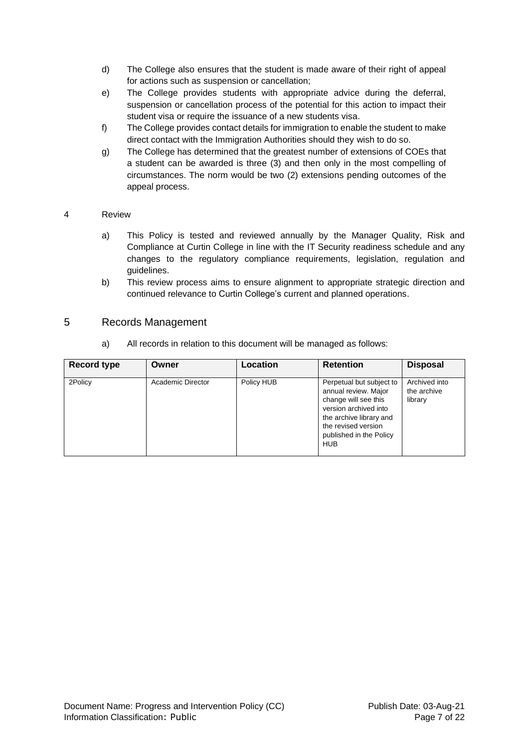- d) The College also ensures that the student is made aware of their right of appeal for actions such as suspension or cancellation;
- e) The College provides students with appropriate advice during the deferral, suspension or cancellation process of the potential for this action to impact their student visa or require the issuance of a new students visa.
- f) The College provides contact details for immigration to enable the student to make direct contact with the Immigration Authorities should they wish to do so.
- g) The College has determined that the greatest number of extensions of COEs that a student can be awarded is three (3) and then only in the most compelling of circumstances. The norm would be two (2) extensions pending outcomes of the appeal process.

### <span id="page-6-0"></span>4 Review

- a) This Policy is tested and reviewed annually by the Manager Quality, Risk and Compliance at Curtin College in line with the IT Security readiness schedule and any changes to the regulatory compliance requirements, legislation, regulation and guidelines.
- b) This review process aims to ensure alignment to appropriate strategic direction and continued relevance to Curtin College's current and planned operations.

# <span id="page-6-1"></span>5 Records Management

a) All records in relation to this document will be managed as follows:

| <b>Record type</b> | Owner             | Location   | <b>Retention</b>                                                                                                                                                                             | <b>Disposal</b>                         |
|--------------------|-------------------|------------|----------------------------------------------------------------------------------------------------------------------------------------------------------------------------------------------|-----------------------------------------|
| 2Policy            | Academic Director | Policy HUB | Perpetual but subject to<br>annual review. Major<br>change will see this<br>version archived into<br>the archive library and<br>the revised version<br>published in the Policy<br><b>HUB</b> | Archived into<br>the archive<br>library |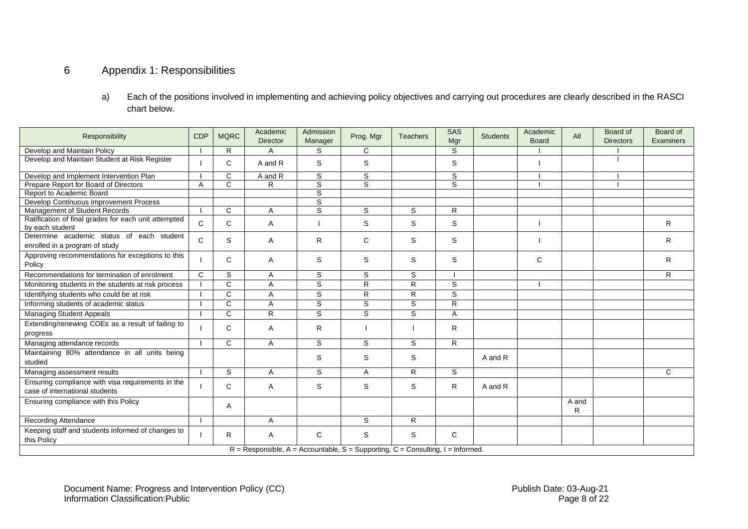# 6 Appendix 1: Responsibilities

a) Each of the positions involved in implementing and achieving policy objectives and carrying out procedures are clearly described in the RASCI chart below.

<span id="page-7-0"></span>

| Responsibility                                                                      | <b>CDP</b>   | <b>MQRC</b>  | Academic<br><b>Director</b> | Admission<br>Manager | Prog. Mgr      | <b>Teachers</b> | <b>SAS</b><br>Mgr | <b>Students</b> | Academic<br><b>Board</b> | All        | Board of<br><b>Directors</b> | Board of<br>Examiners |
|-------------------------------------------------------------------------------------|--------------|--------------|-----------------------------|----------------------|----------------|-----------------|-------------------|-----------------|--------------------------|------------|------------------------------|-----------------------|
| Develop and Maintain Policy                                                         |              | R            | A                           | S                    | С              |                 | S                 |                 |                          |            |                              |                       |
| Develop and Maintain Student at Risk Register                                       |              | C            | A and R                     | S                    | S              |                 | S                 |                 |                          |            |                              |                       |
| Develop and Implement Intervention Plan                                             |              | C            | A and R                     | S                    | $\overline{s}$ |                 | $\overline{s}$    |                 |                          |            |                              |                       |
| Prepare Report for Board of Directors                                               | A            | $\mathsf{C}$ | R                           | S                    | S              |                 | S                 |                 |                          |            |                              |                       |
| Report to Academic Board                                                            |              |              |                             | S                    |                |                 |                   |                 |                          |            |                              |                       |
| Develop Continuous Improvement Process                                              |              |              |                             | S                    |                |                 |                   |                 |                          |            |                              |                       |
| Management of Student Records                                                       |              | $\mathsf{C}$ | A                           | S                    | S              | S               | R                 |                 |                          |            |                              |                       |
| Ratification of final grades for each unit attempted<br>by each student             | $\mathsf{C}$ | C            | Α                           |                      | S              | S               | S                 |                 |                          |            |                              | R                     |
| Determine academic status of each student<br>enrolled in a program of study         | C.           | S            | Α                           | R                    | C              | S               | S                 |                 |                          |            |                              | R                     |
| Approving recommendations for exceptions to this<br>Policy                          |              | C            | Α                           | S                    | S              | S               | S                 |                 | C                        |            |                              | R                     |
| Recommendations for termination of enrolment                                        | $\mathsf{C}$ | S            | A                           | S                    | S              | S               |                   |                 |                          |            |                              | R                     |
| Monitoring students in the students at risk process                                 |              | C            | A                           | S                    | R              | R               | S                 |                 |                          |            |                              |                       |
| Identifying students who could be at risk                                           |              | $\mathsf{C}$ | A                           | S                    | $\mathsf{R}$   | R               | $\overline{s}$    |                 |                          |            |                              |                       |
| Informing students of academic status                                               |              | C            | A                           | S                    | S              | S               | R                 |                 |                          |            |                              |                       |
| <b>Managing Student Appeals</b>                                                     |              | $\mathsf{C}$ | R                           | S                    | S              | S               | Α                 |                 |                          |            |                              |                       |
| Extending/renewing COEs as a result of failing to<br>progress                       |              | C            | $\mathsf{A}$                | R                    |                |                 | R                 |                 |                          |            |                              |                       |
| Managing attendance records                                                         |              | C            | $\overline{A}$              | S                    | S              | S               | R.                |                 |                          |            |                              |                       |
| Maintaining 80% attendance in all units being<br>studied                            |              |              |                             | S                    | S              | S               |                   | A and R         |                          |            |                              |                       |
| Managing assessment results                                                         |              | S            | Α                           | S                    | A              | R               | S                 |                 |                          |            |                              | C                     |
| Ensuring compliance with visa requirements in the<br>case of international students |              | C            | A                           | S                    | S              | S               | R                 | A and R         |                          |            |                              |                       |
| Ensuring compliance with this Policy                                                |              | A            |                             |                      |                |                 |                   |                 |                          | A and<br>R |                              |                       |
| <b>Recording Attendance</b>                                                         |              |              | A                           |                      | S              | R               |                   |                 |                          |            |                              |                       |
| Keeping staff and students informed of changes to<br>this Policy                    |              | R.           | A                           | C                    | S              | S               | C                 |                 |                          |            |                              |                       |
| $R =$ Responsible, A = Accountable, S = Supporting, C = Consulting, I = Informed.   |              |              |                             |                      |                |                 |                   |                 |                          |            |                              |                       |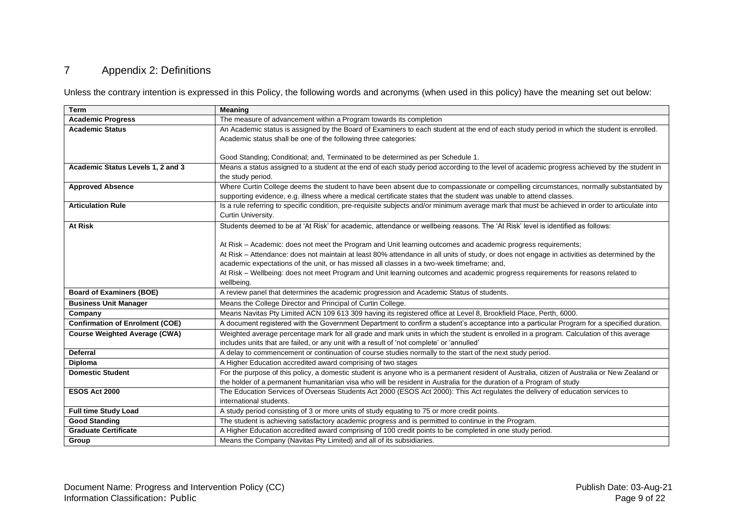# 7 Appendix 2: Definitions

Unless the contrary intention is expressed in this Policy, the following words and acronyms (when used in this policy) have the meaning set out below:

<span id="page-8-0"></span>

| <b>Term</b>                            | <b>Meaning</b>                                                                                                                                  |
|----------------------------------------|-------------------------------------------------------------------------------------------------------------------------------------------------|
| <b>Academic Progress</b>               | The measure of advancement within a Program towards its completion                                                                              |
| <b>Academic Status</b>                 | An Academic status is assigned by the Board of Examiners to each student at the end of each study period in which the student is enrolled.      |
|                                        | Academic status shall be one of the following three categories:                                                                                 |
|                                        |                                                                                                                                                 |
|                                        | Good Standing; Conditional; and, Terminated to be determined as per Schedule 1.                                                                 |
| Academic Status Levels 1, 2 and 3      | Means a status assigned to a student at the end of each study period according to the level of academic progress achieved by the student in     |
|                                        | the study period.                                                                                                                               |
| <b>Approved Absence</b>                | Where Curtin College deems the student to have been absent due to compassionate or compelling circumstances, normally substantiated by          |
|                                        | supporting evidence, e.g. illness where a medical certificate states that the student was unable to attend classes.                             |
| <b>Articulation Rule</b>               | Is a rule referring to specific condition, pre-requisite subjects and/or minimum average mark that must be achieved in order to articulate into |
|                                        | Curtin University.                                                                                                                              |
| <b>At Risk</b>                         | Students deemed to be at 'At Risk' for academic, attendance or wellbeing reasons. The 'At Risk' level is identified as follows:                 |
|                                        |                                                                                                                                                 |
|                                        | At Risk – Academic: does not meet the Program and Unit learning outcomes and academic progress requirements;                                    |
|                                        | At Risk – Attendance: does not maintain at least 80% attendance in all units of study, or does not engage in activities as determined by the    |
|                                        | academic expectations of the unit, or has missed all classes in a two-week timeframe; and,                                                      |
|                                        | At Risk – Wellbeing: does not meet Program and Unit learning outcomes and academic progress requirements for reasons related to                 |
|                                        | wellbeing.                                                                                                                                      |
| <b>Board of Examiners (BOE)</b>        | A review panel that determines the academic progression and Academic Status of students.                                                        |
| <b>Business Unit Manager</b>           | Means the College Director and Principal of Curtin College.                                                                                     |
| Company                                | Means Navitas Pty Limited ACN 109 613 309 having its registered office at Level 8, Brookfield Place, Perth, 6000.                               |
| <b>Confirmation of Enrolment (COE)</b> | A document registered with the Government Department to confirm a student's acceptance into a particular Program for a specified duration.      |
| <b>Course Weighted Average (CWA)</b>   | Weighted average percentage mark for all grade and mark units in which the student is enrolled in a program. Calculation of this average        |
|                                        | includes units that are failed, or any unit with a result of 'not complete' or 'annulled'                                                       |
| <b>Deferral</b>                        | A delay to commencement or continuation of course studies normally to the start of the next study period.                                       |
| Diploma                                | A Higher Education accredited award comprising of two stages                                                                                    |
| <b>Domestic Student</b>                | For the purpose of this policy, a domestic student is anyone who is a permanent resident of Australia, citizen of Australia or New Zealand or   |
|                                        | the holder of a permanent humanitarian visa who will be resident in Australia for the duration of a Program of study                            |
| <b>ESOS Act 2000</b>                   | The Education Services of Overseas Students Act 2000 (ESOS Act 2000): This Act regulates the delivery of education services to                  |
|                                        | international students.                                                                                                                         |
| <b>Full time Study Load</b>            | A study period consisting of 3 or more units of study equating to 75 or more credit points.                                                     |
| <b>Good Standing</b>                   | The student is achieving satisfactory academic progress and is permitted to continue in the Program.                                            |
| <b>Graduate Certificate</b>            | A Higher Education accredited award comprising of 100 credit points to be completed in one study period.                                        |
| Group                                  | Means the Company (Navitas Pty Limited) and all of its subsidiaries.                                                                            |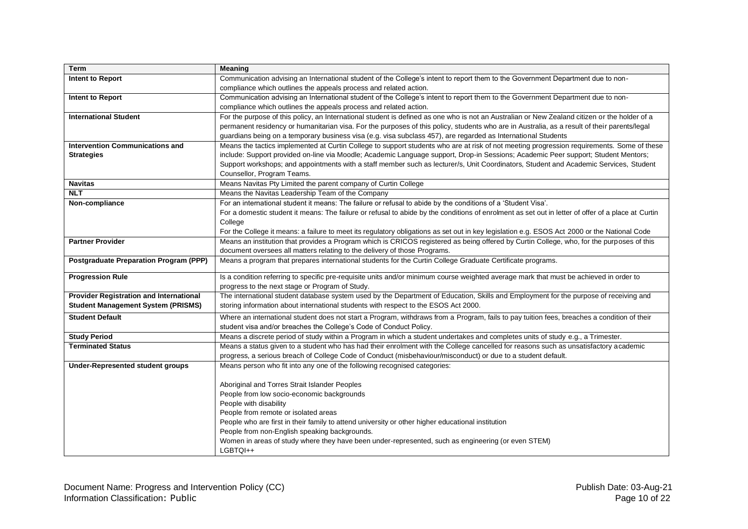| <b>Term</b>                                   | <b>Meaning</b>                                                                                                                                     |
|-----------------------------------------------|----------------------------------------------------------------------------------------------------------------------------------------------------|
| Intent to Report                              | Communication advising an International student of the College's intent to report them to the Government Department due to non-                    |
|                                               | compliance which outlines the appeals process and related action.                                                                                  |
| Intent to Report                              | Communication advising an International student of the College's intent to report them to the Government Department due to non-                    |
|                                               | compliance which outlines the appeals process and related action.                                                                                  |
| <b>International Student</b>                  | For the purpose of this policy, an International student is defined as one who is not an Australian or New Zealand citizen or the holder of a      |
|                                               | permanent residency or humanitarian visa. For the purposes of this policy, students who are in Australia, as a result of their parents/legal       |
|                                               | guardians being on a temporary business visa (e.g. visa subclass 457), are regarded as International Students                                      |
| <b>Intervention Communications and</b>        | Means the tactics implemented at Curtin College to support students who are at risk of not meeting progression requirements. Some of these         |
| <b>Strategies</b>                             | include: Support provided on-line via Moodle; Academic Language support, Drop-in Sessions; Academic Peer support; Student Mentors;                 |
|                                               | Support workshops; and appointments with a staff member such as lecturer/s, Unit Coordinators, Student and Academic Services, Student              |
|                                               | Counsellor, Program Teams.                                                                                                                         |
| <b>Navitas</b>                                | Means Navitas Pty Limited the parent company of Curtin College                                                                                     |
| <b>NLT</b>                                    | Means the Navitas Leadership Team of the Company                                                                                                   |
| Non-compliance                                | For an international student it means: The failure or refusal to abide by the conditions of a 'Student Visa'.                                      |
|                                               | For a domestic student it means: The failure or refusal to abide by the conditions of enrolment as set out in letter of offer of a place at Curtin |
|                                               | College                                                                                                                                            |
|                                               | For the College it means: a failure to meet its regulatory obligations as set out in key legislation e.g. ESOS Act 2000 or the National Code       |
| <b>Partner Provider</b>                       | Means an institution that provides a Program which is CRICOS registered as being offered by Curtin College, who, for the purposes of this          |
|                                               | document oversees all matters relating to the delivery of those Programs.                                                                          |
| <b>Postgraduate Preparation Program (PPP)</b> | Means a program that prepares international students for the Curtin College Graduate Certificate programs.                                         |
| <b>Progression Rule</b>                       | Is a condition referring to specific pre-requisite units and/or minimum course weighted average mark that must be achieved in order to             |
|                                               | progress to the next stage or Program of Study.                                                                                                    |
| Provider Registration and International       | The international student database system used by the Department of Education, Skills and Employment for the purpose of receiving and              |
| <b>Student Management System (PRISMS)</b>     | storing information about international students with respect to the ESOS Act 2000.                                                                |
| <b>Student Default</b>                        | Where an international student does not start a Program, withdraws from a Program, fails to pay tuition fees, breaches a condition of their        |
|                                               | student visa and/or breaches the College's Code of Conduct Policy.                                                                                 |
| <b>Study Period</b>                           | Means a discrete period of study within a Program in which a student undertakes and completes units of study e.g., a Trimester.                    |
| <b>Terminated Status</b>                      | Means a status given to a student who has had their enrolment with the College cancelled for reasons such as unsatisfactory academic               |
|                                               | progress, a serious breach of College Code of Conduct (misbehaviour/misconduct) or due to a student default.                                       |
| <b>Under-Represented student groups</b>       | Means person who fit into any one of the following recognised categories:                                                                          |
|                                               |                                                                                                                                                    |
|                                               | Aboriginal and Torres Strait Islander Peoples                                                                                                      |
|                                               | People from low socio-economic backgrounds                                                                                                         |
|                                               | People with disability                                                                                                                             |
|                                               | People from remote or isolated areas                                                                                                               |
|                                               | People who are first in their family to attend university or other higher educational institution                                                  |
|                                               | People from non-English speaking backgrounds.                                                                                                      |
|                                               | Women in areas of study where they have been under-represented, such as engineering (or even STEM)                                                 |
|                                               | LGBTQI++                                                                                                                                           |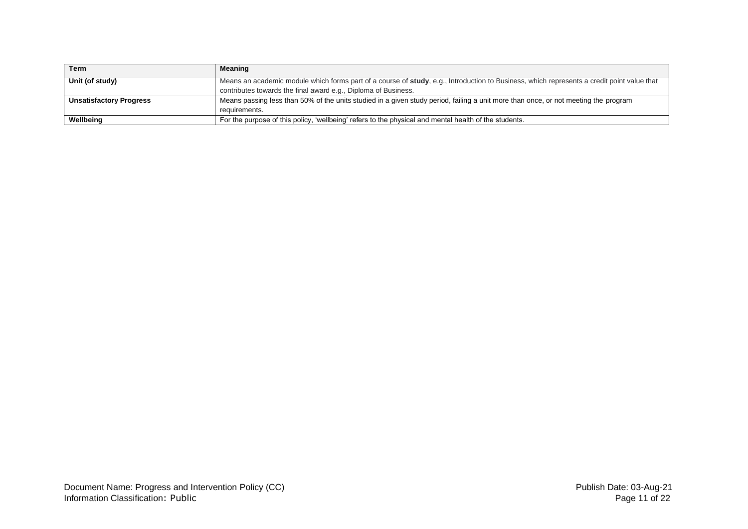| Term                           | Meaning                                                                                                                                    |
|--------------------------------|--------------------------------------------------------------------------------------------------------------------------------------------|
| Unit (of study)                | Means an academic module which forms part of a course of study, e.g., Introduction to Business, which represents a credit point value that |
|                                | contributes towards the final award e.g., Diploma of Business.                                                                             |
| <b>Unsatisfactory Progress</b> | Means passing less than 50% of the units studied in a given study period, failing a unit more than once, or not meeting the program        |
|                                | requirements.                                                                                                                              |
| Wellbeing                      | For the purpose of this policy, 'wellbeing' refers to the physical and mental health of the students.                                      |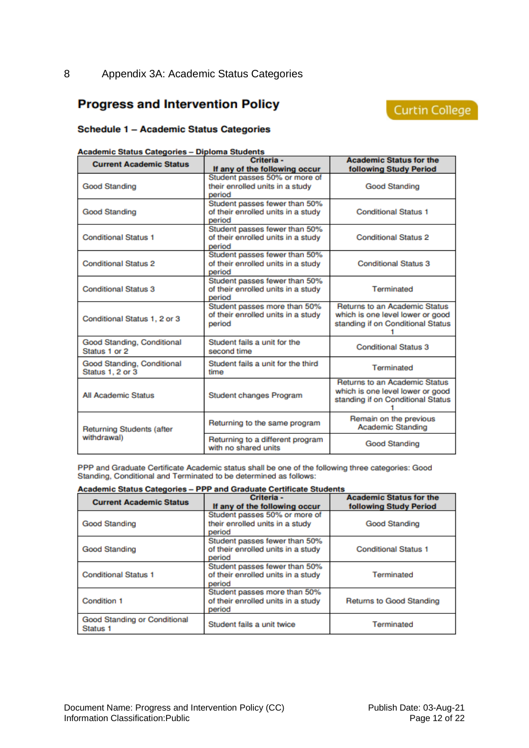# <span id="page-11-0"></span>**Progress and Intervention Policy**

# Curtin College

### **Schedule 1 - Academic Status Categories**

| <b>Academic Status Categories - Diploma Students</b> |  |
|------------------------------------------------------|--|
|                                                      |  |

| <b>Current Academic Status</b>                 | Criteria -<br>If any of the following occur                                   | <b>Academic Status for the</b><br>following Study Period                                               |
|------------------------------------------------|-------------------------------------------------------------------------------|--------------------------------------------------------------------------------------------------------|
| Good Standing                                  | Student passes 50% or more of<br>their enrolled units in a study<br>period    | Good Standing                                                                                          |
| Good Standing                                  | Student passes fewer than 50%<br>of their enrolled units in a study<br>period | <b>Conditional Status 1</b>                                                                            |
| <b>Conditional Status 1</b>                    | Student passes fewer than 50%<br>of their enrolled units in a study<br>period | <b>Conditional Status 2</b>                                                                            |
| <b>Conditional Status 2</b>                    | Student passes fewer than 50%<br>of their enrolled units in a study<br>period | <b>Conditional Status 3</b>                                                                            |
| <b>Conditional Status 3</b>                    | Student passes fewer than 50%<br>of their enrolled units in a study<br>period | Terminated                                                                                             |
| Conditional Status 1, 2 or 3                   | Student passes more than 50%<br>of their enrolled units in a study<br>period  | Returns to an Academic Status<br>which is one level lower or good<br>standing if on Conditional Status |
| Good Standing, Conditional<br>Status 1 or 2    | Student fails a unit for the<br>second time                                   | <b>Conditional Status 3</b>                                                                            |
| Good Standing, Conditional<br>Status 1, 2 or 3 | Student fails a unit for the third<br>time                                    | Terminated                                                                                             |
| <b>All Academic Status</b>                     | Student changes Program                                                       | Returns to an Academic Status<br>which is one level lower or good<br>standing if on Conditional Status |
| <b>Returning Students (after</b>               | Returning to the same program                                                 | Remain on the previous<br>Academic Standing                                                            |
| withdrawal)                                    | Returning to a different program<br>with no shared units                      | <b>Good Standing</b>                                                                                   |

PPP and Graduate Certificate Academic status shall be one of the following three categories: Good Standing, Conditional and Terminated to be determined as follows:

#### Academic Status Categories - PPP and Graduate Certificate Students

| <b>Current Academic Status</b>           | Criteria -<br>If any of the following occur                                   | <b>Academic Status for the</b><br>following Study Period |
|------------------------------------------|-------------------------------------------------------------------------------|----------------------------------------------------------|
| <b>Good Standing</b>                     | Student passes 50% or more of<br>their enrolled units in a study<br>period    | Good Standing                                            |
| <b>Good Standing</b>                     | Student passes fewer than 50%<br>of their enrolled units in a study<br>period | <b>Conditional Status 1</b>                              |
| <b>Conditional Status 1</b>              | Student passes fewer than 50%<br>of their enrolled units in a study<br>period | Terminated                                               |
| Condition 1                              | Student passes more than 50%<br>of their enrolled units in a study<br>period  | Returns to Good Standing                                 |
| Good Standing or Conditional<br>Status 1 | Student fails a unit twice                                                    | Terminated                                               |

Document Name: Progress and Intervention Policy (CC) Publish Date: 03-Aug-21 Information Classification: Public Page 12 of 22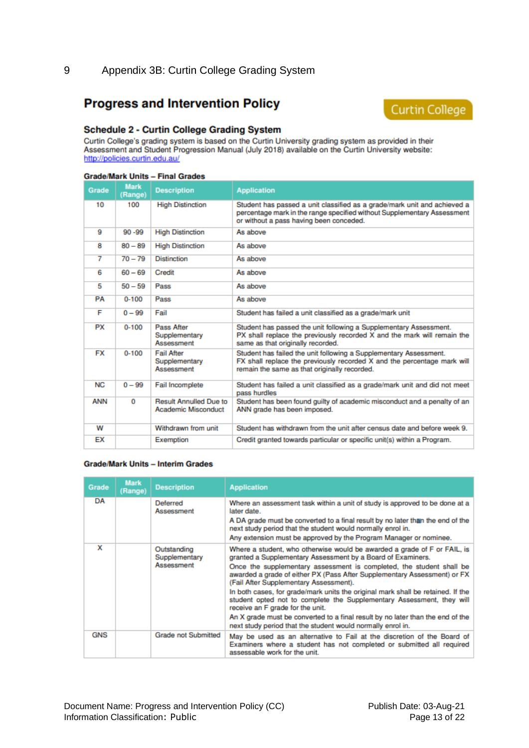# <span id="page-12-0"></span>**Progress and Intervention Policy**



#### **Schedule 2 - Curtin College Grading System**

Curtin College's grading system is based on the Curtin University grading system as provided in their Assessment and Student Progression Manual (July 2018) available on the Curtin University website: http://policies.curtin.edu.au/

#### **Grade/Mark Units - Final Grades**

| Grade           | <b>Mark</b><br>(Range) | <b>Description</b>                                   | <b>Application</b>                                                                                                                                                                             |  |
|-----------------|------------------------|------------------------------------------------------|------------------------------------------------------------------------------------------------------------------------------------------------------------------------------------------------|--|
| 10              | 100                    | <b>High Distinction</b>                              | Student has passed a unit classified as a grade/mark unit and achieved a<br>percentage mark in the range specified without Supplementary Assessment<br>or without a pass having been conceded. |  |
| 9               | $90 - 99$              | <b>High Distinction</b>                              | As above                                                                                                                                                                                       |  |
| 8               | $80 - 89$              | <b>High Distinction</b>                              | As above                                                                                                                                                                                       |  |
| 7               | $70 - 79$              | <b>Distinction</b>                                   | As above                                                                                                                                                                                       |  |
| 6               | $60 - 69$              | Credit                                               | As above                                                                                                                                                                                       |  |
| 5               | $50 - 59$              | Pass                                                 | As above                                                                                                                                                                                       |  |
| PA              | $0 - 100$              | Pass                                                 | As above                                                                                                                                                                                       |  |
| F               | $0 - 99$               | Fail                                                 | Student has failed a unit classified as a grade/mark unit                                                                                                                                      |  |
| <b>PX</b>       | $0 - 100$              | Pass After<br>Supplementary<br>Assessment            | Student has passed the unit following a Supplementary Assessment.<br>PX shall replace the previously recorded X and the mark will remain the<br>same as that originally recorded.              |  |
| <b>FX</b>       | $0 - 100$              | <b>Fail After</b><br>Supplementary<br>Assessment     | Student has failed the unit following a Supplementary Assessment.<br>FX shall replace the previously recorded X and the percentage mark will<br>remain the same as that originally recorded.   |  |
| NC <sub>1</sub> | $0 - 99$               | Fail Incomplete                                      | Student has failed a unit classified as a grade/mark unit and did not meet<br>pass hurdles                                                                                                     |  |
| ANN             | 0                      | <b>Result Annulled Due to</b><br>Academic Misconduct | Student has been found quilty of academic misconduct and a penalty of an<br>ANN grade has been imposed.                                                                                        |  |
| W               |                        | Withdrawn from unit                                  | Student has withdrawn from the unit after census date and before week 9.                                                                                                                       |  |
| FХ              |                        | Exemption                                            | Credit granted towards particular or specific unit(s) within a Program.                                                                                                                        |  |

#### **Grade/Mark Units - Interim Grades**

| Grade      | <b>Mark</b><br>(Range) | <b>Description</b>                         | <b>Application</b>                                                                                                                                                                                                                                                                                                                                                                                                                                                                                                                                                                                                                                                                     |
|------------|------------------------|--------------------------------------------|----------------------------------------------------------------------------------------------------------------------------------------------------------------------------------------------------------------------------------------------------------------------------------------------------------------------------------------------------------------------------------------------------------------------------------------------------------------------------------------------------------------------------------------------------------------------------------------------------------------------------------------------------------------------------------------|
| DA         |                        | Deferred<br>Assessment                     | Where an assessment task within a unit of study is approved to be done at a<br>later date.<br>A DA grade must be converted to a final result by no later than the end of the<br>next study period that the student would normally enrol in.<br>Any extension must be approved by the Program Manager or nominee.                                                                                                                                                                                                                                                                                                                                                                       |
| x          |                        | Outstanding<br>Supplementary<br>Assessment | Where a student, who otherwise would be awarded a grade of F or FAIL, is<br>granted a Supplementary Assessment by a Board of Examiners.<br>Once the supplementary assessment is completed, the student shall be<br>awarded a grade of either PX (Pass After Supplementary Assessment) or FX<br>(Fail After Supplementary Assessment).<br>In both cases, for grade/mark units the original mark shall be retained. If the<br>student opted not to complete the Supplementary Assessment, they will<br>receive an F grade for the unit.<br>An X grade must be converted to a final result by no later than the end of the<br>next study period that the student would normally enrol in. |
| <b>GNS</b> |                        | <b>Grade not Submitted</b>                 | May be used as an alternative to Fail at the discretion of the Board of<br>Examiners where a student has not completed or submitted all required<br>assessable work for the unit.                                                                                                                                                                                                                                                                                                                                                                                                                                                                                                      |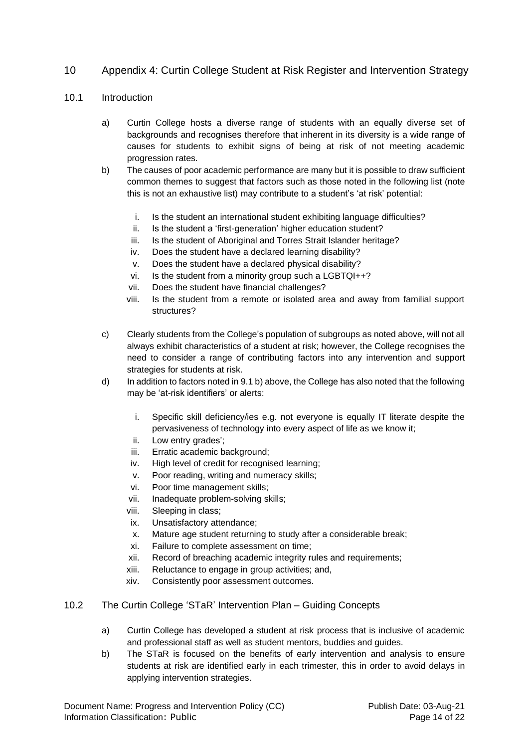# <span id="page-13-0"></span>10 Appendix 4: Curtin College Student at Risk Register and Intervention Strategy

### 10.1 Introduction

- a) Curtin College hosts a diverse range of students with an equally diverse set of backgrounds and recognises therefore that inherent in its diversity is a wide range of causes for students to exhibit signs of being at risk of not meeting academic progression rates.
- b) The causes of poor academic performance are many but it is possible to draw sufficient common themes to suggest that factors such as those noted in the following list (note this is not an exhaustive list) may contribute to a student's 'at risk' potential:
	- i. Is the student an international student exhibiting language difficulties?
	- ii. Is the student a 'first-generation' higher education student?
	- iii. Is the student of Aboriginal and Torres Strait Islander heritage?
	- iv. Does the student have a declared learning disability?
	- v. Does the student have a declared physical disability?
	- vi. Is the student from a minority group such a LGBTQI++?
	- vii. Does the student have financial challenges?
	- viii. Is the student from a remote or isolated area and away from familial support structures?
- c) Clearly students from the College's population of subgroups as noted above, will not all always exhibit characteristics of a student at risk; however, the College recognises the need to consider a range of contributing factors into any intervention and support strategies for students at risk.
- d) In addition to factors noted in 9.1 b) above, the College has also noted that the following may be 'at-risk identifiers' or alerts:
	- i. Specific skill deficiency/ies e.g. not everyone is equally IT literate despite the pervasiveness of technology into every aspect of life as we know it;
	- ii. Low entry grades';
	- iii. Erratic academic background;
	- iv. High level of credit for recognised learning;
	- v. Poor reading, writing and numeracy skills;
	- vi. Poor time management skills;
	- vii. Inadequate problem-solving skills;
	- viii. Sleeping in class;
	- ix. Unsatisfactory attendance;
	- x. Mature age student returning to study after a considerable break;
	- xi. Failure to complete assessment on time;
	- xii. Record of breaching academic integrity rules and requirements;
	- xiii. Reluctance to engage in group activities; and,
	- xiv. Consistently poor assessment outcomes.

### 10.2 The Curtin College 'STaR' Intervention Plan – Guiding Concepts

- a) Curtin College has developed a student at risk process that is inclusive of academic and professional staff as well as student mentors, buddies and guides.
- b) The STaR is focused on the benefits of early intervention and analysis to ensure students at risk are identified early in each trimester, this in order to avoid delays in applying intervention strategies.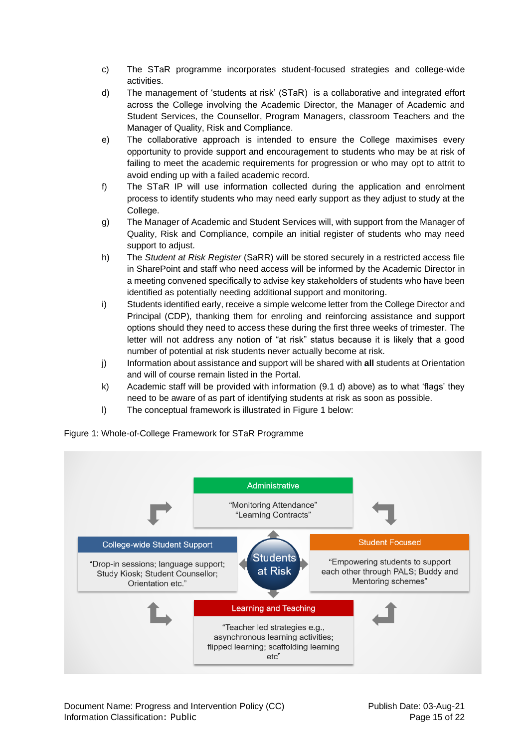- c) The STaR programme incorporates student-focused strategies and college-wide activities.
- d) The management of 'students at risk' (STaR) is a collaborative and integrated effort across the College involving the Academic Director, the Manager of Academic and Student Services, the Counsellor, Program Managers, classroom Teachers and the Manager of Quality, Risk and Compliance.
- e) The collaborative approach is intended to ensure the College maximises every opportunity to provide support and encouragement to students who may be at risk of failing to meet the academic requirements for progression or who may opt to attrit to avoid ending up with a failed academic record.
- f) The STaR IP will use information collected during the application and enrolment process to identify students who may need early support as they adjust to study at the College.
- g) The Manager of Academic and Student Services will, with support from the Manager of Quality, Risk and Compliance, compile an initial register of students who may need support to adjust.
- h) The *Student at Risk Register* (SaRR) will be stored securely in a restricted access file in SharePoint and staff who need access will be informed by the Academic Director in a meeting convened specifically to advise key stakeholders of students who have been identified as potentially needing additional support and monitoring.
- i) Students identified early, receive a simple welcome letter from the College Director and Principal (CDP), thanking them for enroling and reinforcing assistance and support options should they need to access these during the first three weeks of trimester. The letter will not address any notion of "at risk" status because it is likely that a good number of potential at risk students never actually become at risk.
- j) Information about assistance and support will be shared with **all** students at Orientation and will of course remain listed in the Portal.
- k) Academic staff will be provided with information (9.1 d) above) as to what 'flags' they need to be aware of as part of identifying students at risk as soon as possible.
- l) The conceptual framework is illustrated in Figure 1 below:



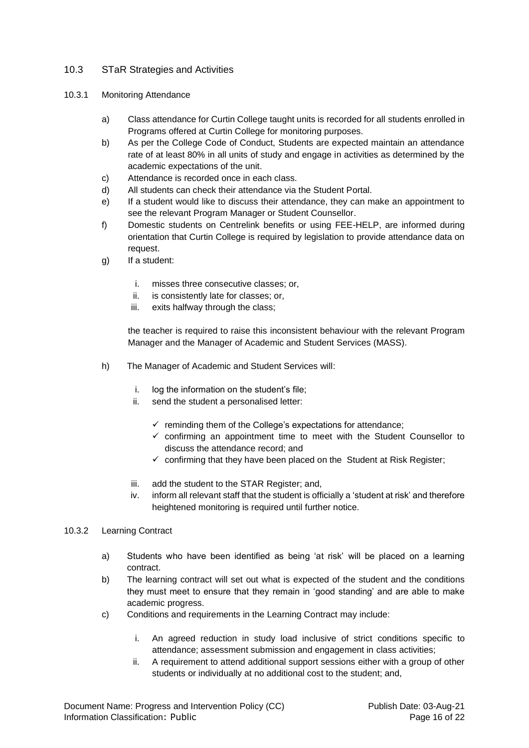# 10.3 STaR Strategies and Activities

- 10.3.1 Monitoring Attendance
	- a) Class attendance for Curtin College taught units is recorded for all students enrolled in Programs offered at Curtin College for monitoring purposes.
	- b) As per the College Code of Conduct, Students are expected maintain an attendance rate of at least 80% in all units of study and engage in activities as determined by the academic expectations of the unit.
	- c) Attendance is recorded once in each class.
	- d) All students can check their attendance via the Student Portal.
	- e) If a student would like to discuss their attendance, they can make an appointment to see the relevant Program Manager or Student Counsellor.
	- f) Domestic students on Centrelink benefits or using FEE-HELP, are informed during orientation that Curtin College is required by legislation to provide attendance data on request.
	- g) If a student:
		- i. misses three consecutive classes; or,
		- ii. is consistently late for classes; or,
		- iii. exits halfway through the class;

the teacher is required to raise this inconsistent behaviour with the relevant Program Manager and the Manager of Academic and Student Services (MASS).

- h) The Manager of Academic and Student Services will:
	- i. log the information on the student's file;
	- ii. send the student a personalised letter:
		- $\checkmark$  reminding them of the College's expectations for attendance;
		- $\checkmark$  confirming an appointment time to meet with the Student Counsellor to discuss the attendance record; and
		- $\checkmark$  confirming that they have been placed on the Student at Risk Register;
	- iii. add the student to the STAR Register; and,
	- iv. inform all relevant staff that the student is officially a 'student at risk' and therefore heightened monitoring is required until further notice.

### 10.3.2 Learning Contract

- a) Students who have been identified as being 'at risk' will be placed on a learning contract.
- b) The learning contract will set out what is expected of the student and the conditions they must meet to ensure that they remain in 'good standing' and are able to make academic progress.
- c) Conditions and requirements in the Learning Contract may include:
	- i. An agreed reduction in study load inclusive of strict conditions specific to attendance; assessment submission and engagement in class activities;
	- ii. A requirement to attend additional support sessions either with a group of other students or individually at no additional cost to the student; and,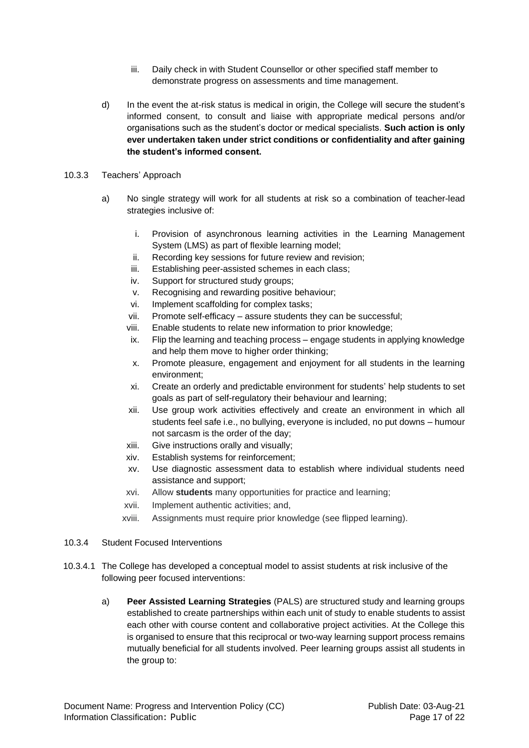- iii. Daily check in with Student Counsellor or other specified staff member to demonstrate progress on assessments and time management.
- d) In the event the at-risk status is medical in origin, the College will secure the student's informed consent, to consult and liaise with appropriate medical persons and/or organisations such as the student's doctor or medical specialists. **Such action is only ever undertaken taken under strict conditions or confidentiality and after gaining the student's informed consent.**

### 10.3.3 Teachers' Approach

- a) No single strategy will work for all students at risk so a combination of teacher-lead strategies inclusive of:
	- i. Provision of asynchronous learning activities in the Learning Management System (LMS) as part of flexible learning model;
	- ii. Recording key sessions for future review and revision;
	- iii. Establishing peer-assisted schemes in each class;
	- iv. Support for structured study groups;
	- v. Recognising and rewarding positive behaviour;
	- vi. Implement scaffolding for complex tasks;
	- vii. Promote self-efficacy assure students they can be successful;
	- viii. Enable students to relate new information to prior knowledge;
	- ix. Flip the learning and teaching process engage students in applying knowledge and help them move to higher order thinking;
	- x. Promote pleasure, engagement and enjoyment for all students in the learning environment;
	- xi. Create an orderly and predictable environment for students' help students to set goals as part of self-regulatory their behaviour and learning;
	- xii. Use group work activities effectively and create an environment in which all students feel safe i.e., no bullying, everyone is included, no put downs – humour not sarcasm is the order of the day;
	- xiii. Give instructions orally and visually;
	- xiv. Establish systems for reinforcement;
	- xv. Use diagnostic assessment data to establish where individual students need assistance and support;
	- xvi. Allow **students** many opportunities for practice and learning;
	- xvii. Implement authentic activities; and,
	- xviii. Assignments must require prior knowledge (see flipped learning).
- 10.3.4 Student Focused Interventions
- 10.3.4.1 The College has developed a conceptual model to assist students at risk inclusive of the following peer focused interventions:
	- a) **Peer Assisted Learning Strategies** (PALS) are structured study and learning groups established to create partnerships within each unit of study to enable students to assist each other with course content and collaborative project activities. At the College this is organised to ensure that this reciprocal or two-way learning support process remains mutually beneficial for all students involved. Peer learning groups assist all students in the group to: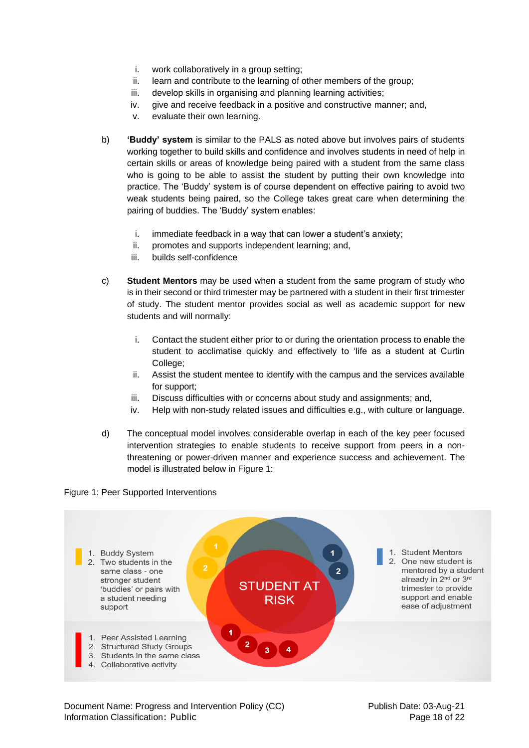- i. work collaboratively in a group setting;
- ii. learn and contribute to the learning of other members of the group;
- iii. develop skills in organising and planning learning activities;
- iv. give and receive feedback in a positive and constructive manner; and,
- v. evaluate their own learning.
- b) **'Buddy' system** is similar to the PALS as noted above but involves pairs of students working together to build skills and confidence and involves students in need of help in certain skills or areas of knowledge being paired with a student from the same class who is going to be able to assist the student by putting their own knowledge into practice. The 'Buddy' system is of course dependent on effective pairing to avoid two weak students being paired, so the College takes great care when determining the pairing of buddies. The 'Buddy' system enables:
	- i. immediate feedback in a way that can lower a student's anxiety;
	- ii. promotes and supports independent learning; and,
	- iii. builds self-confidence
- c) **Student Mentors** may be used when a student from the same program of study who is in their second or third trimester may be partnered with a student in their first trimester of study. The student mentor provides social as well as academic support for new students and will normally:
	- i. Contact the student either prior to or during the orientation process to enable the student to acclimatise quickly and effectively to 'life as a student at Curtin College;
	- ii. Assist the student mentee to identify with the campus and the services available for support;
	- iii. Discuss difficulties with or concerns about study and assignments; and,
	- iv. Help with non-study related issues and difficulties e.g., with culture or language.
- d) The conceptual model involves considerable overlap in each of the key peer focused intervention strategies to enable students to receive support from peers in a nonthreatening or power-driven manner and experience success and achievement. The model is illustrated below in Figure 1:

### Figure 1: Peer Supported Interventions

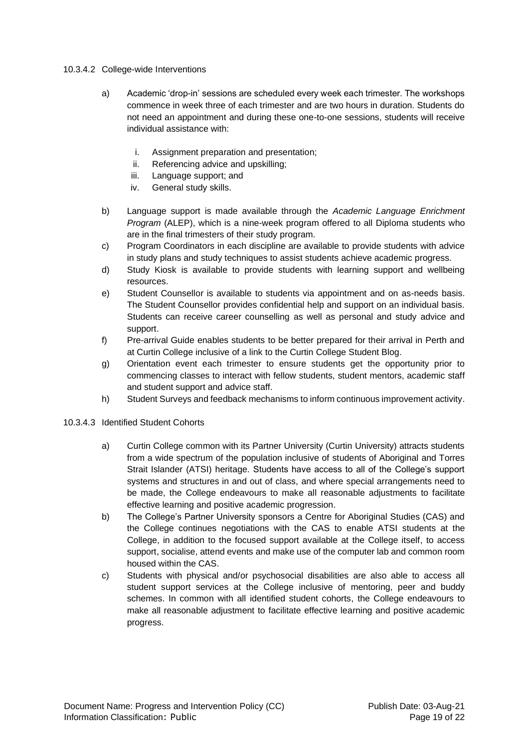### 10.3.4.2 College-wide Interventions

- a) Academic 'drop-in' sessions are scheduled every week each trimester. The workshops commence in week three of each trimester and are two hours in duration. Students do not need an appointment and during these one-to-one sessions, students will receive individual assistance with:
	- i. Assignment preparation and presentation;
	- ii. Referencing advice and upskilling;
	- iii. Language support; and
	- iv. General study skills.
- b) Language support is made available through the *Academic Language Enrichment Program* (ALEP), which is a nine-week program offered to all Diploma students who are in the final trimesters of their study program.
- c) Program Coordinators in each discipline are available to provide students with advice in study plans and study techniques to assist students achieve academic progress.
- d) Study Kiosk is available to provide students with learning support and wellbeing resources.
- e) Student Counsellor is available to students via appointment and on as-needs basis. The Student Counsellor provides confidential help and support on an individual basis. Students can receive career counselling as well as personal and study advice and support.
- f) Pre-arrival Guide enables students to be better prepared for their arrival in Perth and at Curtin College inclusive of a link to the Curtin College Student Blog.
- g) Orientation event each trimester to ensure students get the opportunity prior to commencing classes to interact with fellow students, student mentors, academic staff and student support and advice staff.
- h) Student Surveys and feedback mechanisms to inform continuous improvement activity.

# 10.3.4.3 Identified Student Cohorts

- a) Curtin College common with its Partner University (Curtin University) attracts students from a wide spectrum of the population inclusive of students of Aboriginal and Torres Strait Islander (ATSI) heritage. Students have access to all of the College's support systems and structures in and out of class, and where special arrangements need to be made, the College endeavours to make all reasonable adjustments to facilitate effective learning and positive academic progression.
- b) The College's Partner University sponsors a Centre for Aboriginal Studies (CAS) and the College continues negotiations with the CAS to enable ATSI students at the College, in addition to the focused support available at the College itself, to access support, socialise, attend events and make use of the computer lab and common room housed within the CAS.
- c) Students with physical and/or psychosocial disabilities are also able to access all student support services at the College inclusive of mentoring, peer and buddy schemes. In common with all identified student cohorts, the College endeavours to make all reasonable adjustment to facilitate effective learning and positive academic progress.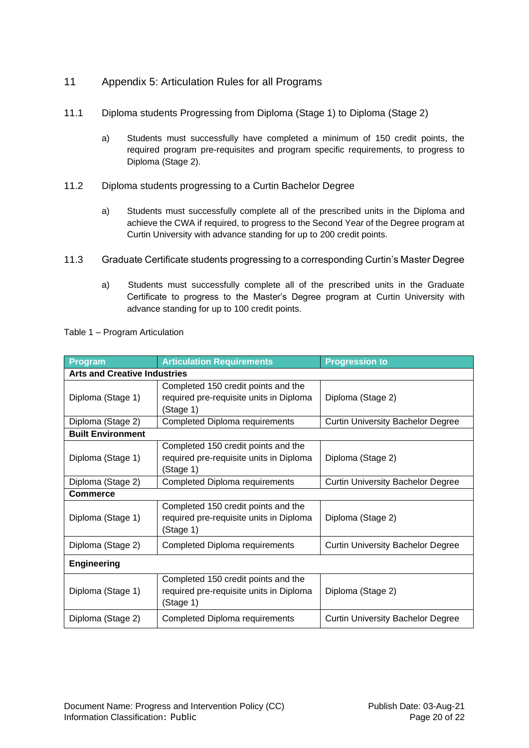- <span id="page-19-0"></span>11 Appendix 5: Articulation Rules for all Programs
- 11.1 Diploma students Progressing from Diploma (Stage 1) to Diploma (Stage 2)
	- a) Students must successfully have completed a minimum of 150 credit points, the required program pre-requisites and program specific requirements, to progress to Diploma (Stage 2).
- 11.2 Diploma students progressing to a Curtin Bachelor Degree
	- a) Students must successfully complete all of the prescribed units in the Diploma and achieve the CWA if required, to progress to the Second Year of the Degree program at Curtin University with advance standing for up to 200 credit points.
- 11.3 Graduate Certificate students progressing to a corresponding Curtin's Master Degree
	- a) Students must successfully complete all of the prescribed units in the Graduate Certificate to progress to the Master's Degree program at Curtin University with advance standing for up to 100 credit points.

| Program                             | <b>Articulation Requirements</b>                                                            | <b>Progression to</b>                    |  |  |  |  |
|-------------------------------------|---------------------------------------------------------------------------------------------|------------------------------------------|--|--|--|--|
| <b>Arts and Creative Industries</b> |                                                                                             |                                          |  |  |  |  |
| Diploma (Stage 1)                   | Completed 150 credit points and the<br>required pre-requisite units in Diploma<br>(Stage 1) | Diploma (Stage 2)                        |  |  |  |  |
| Diploma (Stage 2)                   | Completed Diploma requirements                                                              | <b>Curtin University Bachelor Degree</b> |  |  |  |  |
| <b>Built Environment</b>            |                                                                                             |                                          |  |  |  |  |
| Diploma (Stage 1)                   | Completed 150 credit points and the<br>required pre-requisite units in Diploma<br>(Stage 1) | Diploma (Stage 2)                        |  |  |  |  |
| Diploma (Stage 2)                   | Completed Diploma requirements                                                              | <b>Curtin University Bachelor Degree</b> |  |  |  |  |
| <b>Commerce</b>                     |                                                                                             |                                          |  |  |  |  |
| Diploma (Stage 1)                   | Completed 150 credit points and the<br>required pre-requisite units in Diploma<br>(Stage 1) | Diploma (Stage 2)                        |  |  |  |  |
| Diploma (Stage 2)                   | Completed Diploma requirements                                                              | <b>Curtin University Bachelor Degree</b> |  |  |  |  |
| <b>Engineering</b>                  |                                                                                             |                                          |  |  |  |  |
| Diploma (Stage 1)                   | Completed 150 credit points and the<br>required pre-requisite units in Diploma<br>(Stage 1) | Diploma (Stage 2)                        |  |  |  |  |
| Diploma (Stage 2)                   | <b>Completed Diploma requirements</b>                                                       | <b>Curtin University Bachelor Degree</b> |  |  |  |  |

Table 1 – Program Articulation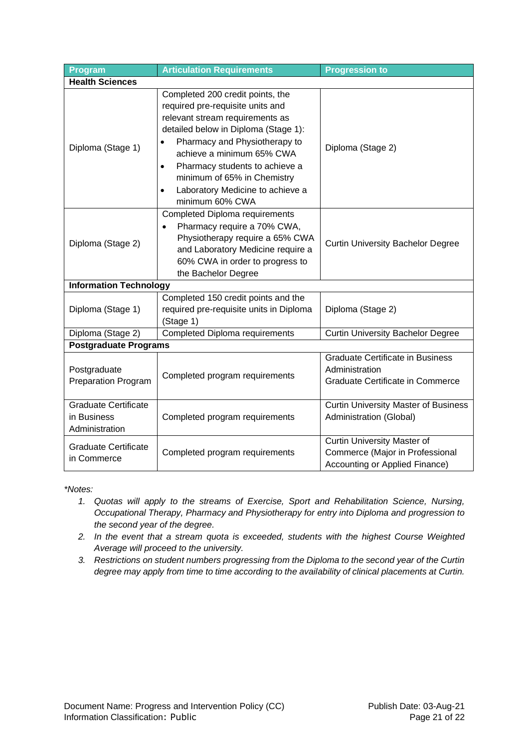| Program                                                      | <b>Articulation Requirements</b>                                                                                                                                                                                                                                                                                                                                             | <b>Progression to</b>                                                                                   |  |  |  |  |
|--------------------------------------------------------------|------------------------------------------------------------------------------------------------------------------------------------------------------------------------------------------------------------------------------------------------------------------------------------------------------------------------------------------------------------------------------|---------------------------------------------------------------------------------------------------------|--|--|--|--|
| <b>Health Sciences</b>                                       |                                                                                                                                                                                                                                                                                                                                                                              |                                                                                                         |  |  |  |  |
| Diploma (Stage 1)                                            | Completed 200 credit points, the<br>required pre-requisite units and<br>relevant stream requirements as<br>detailed below in Diploma (Stage 1):<br>Pharmacy and Physiotherapy to<br>$\bullet$<br>achieve a minimum 65% CWA<br>Pharmacy students to achieve a<br>$\bullet$<br>minimum of 65% in Chemistry<br>Laboratory Medicine to achieve a<br>$\bullet$<br>minimum 60% CWA | Diploma (Stage 2)                                                                                       |  |  |  |  |
| Diploma (Stage 2)                                            | <b>Completed Diploma requirements</b><br>Pharmacy require a 70% CWA,<br>Physiotherapy require a 65% CWA<br>and Laboratory Medicine require a<br>60% CWA in order to progress to<br>the Bachelor Degree                                                                                                                                                                       | <b>Curtin University Bachelor Degree</b>                                                                |  |  |  |  |
| <b>Information Technology</b>                                |                                                                                                                                                                                                                                                                                                                                                                              |                                                                                                         |  |  |  |  |
| Diploma (Stage 1)                                            | Completed 150 credit points and the<br>required pre-requisite units in Diploma<br>(Stage 1)                                                                                                                                                                                                                                                                                  | Diploma (Stage 2)                                                                                       |  |  |  |  |
| Diploma (Stage 2)                                            | <b>Completed Diploma requirements</b>                                                                                                                                                                                                                                                                                                                                        | <b>Curtin University Bachelor Degree</b>                                                                |  |  |  |  |
| <b>Postgraduate Programs</b>                                 |                                                                                                                                                                                                                                                                                                                                                                              |                                                                                                         |  |  |  |  |
| Postgraduate<br><b>Preparation Program</b>                   | Completed program requirements                                                                                                                                                                                                                                                                                                                                               | <b>Graduate Certificate in Business</b><br>Administration<br>Graduate Certificate in Commerce           |  |  |  |  |
| <b>Graduate Certificate</b><br>in Business<br>Administration | Completed program requirements                                                                                                                                                                                                                                                                                                                                               | <b>Curtin University Master of Business</b><br>Administration (Global)                                  |  |  |  |  |
| <b>Graduate Certificate</b><br>in Commerce                   | Completed program requirements                                                                                                                                                                                                                                                                                                                                               | <b>Curtin University Master of</b><br>Commerce (Major in Professional<br>Accounting or Applied Finance) |  |  |  |  |

*\*Notes:*

- *1. Quotas will apply to the streams of Exercise, Sport and Rehabilitation Science, Nursing, Occupational Therapy, Pharmacy and Physiotherapy for entry into Diploma and progression to the second year of the degree.*
- *2. In the event that a stream quota is exceeded, students with the highest Course Weighted Average will proceed to the university.*
- *3. Restrictions on student numbers progressing from the Diploma to the second year of the Curtin degree may apply from time to time according to the availability of clinical placements at Curtin.*